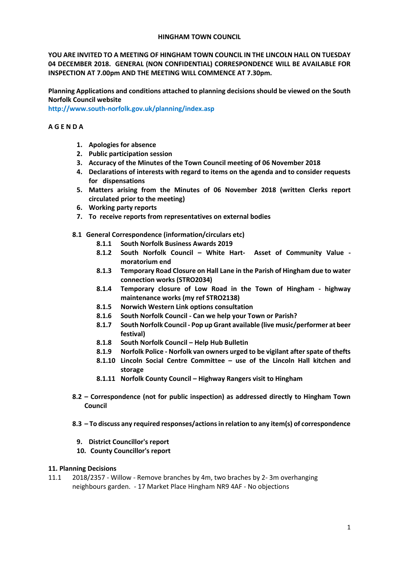### **HINGHAM TOWN COUNCIL**

**YOU ARE INVITED TO A MEETING OF HINGHAM TOWN COUNCIL IN THE LINCOLN HALL ON TUESDAY 04 DECEMBER 2018. GENERAL (NON CONFIDENTIAL) CORRESPONDENCE WILL BE AVAILABLE FOR INSPECTION AT 7.00pm AND THE MEETING WILL COMMENCE AT 7.30pm.** 

**Planning Applications and conditions attached to planning decisions should be viewed on the South Norfolk Council website** 

**<http://www.south-norfolk.gov.uk/planning/index.asp>**

## **A G E N D A**

- **1. Apologies for absence**
- **2. Public participation session**
- **3. Accuracy of the Minutes of the Town Council meeting of 06 November 2018**
- **4. Declarations of interests with regard to items on the agenda and to consider requests for dispensations**
- **5. Matters arising from the Minutes of 06 November 2018 (written Clerks report circulated prior to the meeting)**
- **6. Working party reports**
- **7. To receive reports from representatives on external bodies**
- **8.1 General Correspondence (information/circulars etc)**
	- **8.1.1 South Norfolk Business Awards 2019**
	- **8.1.2 South Norfolk Council – White Hart- Asset of Community Value moratorium end**
	- **8.1.3 Temporary Road Closure on Hall Lane in the Parish of Hingham due to water connection works (STRO2034)**
	- **8.1.4 Temporary closure of Low Road in the Town of Hingham - highway maintenance works (my ref STRO2138)**
	- **8.1.5 Norwich Western Link options consultation**
	- **8.1.6 South Norfolk Council - Can we help your Town or Parish?**
	- **8.1.7 South Norfolk Council - Pop up Grant available (live music/performer at beer festival)**
	- **8.1.8 South Norfolk Council – Help Hub Bulletin**
	- **8.1.9 Norfolk Police - Norfolk van owners urged to be vigilant after spate of thefts**
	- **8.1.10 Lincoln Social Centre Committee – use of the Lincoln Hall kitchen and storage**
	- **8.1.11 Norfolk County Council – Highway Rangers visit to Hingham**
- **8.2 – Correspondence (not for public inspection) as addressed directly to Hingham Town Council**
- **8.3 – To discuss any required responses/actions in relation to any item(s) of correspondence** 
	- **9. District Councillor's report**
	- **10. County Councillor's report**

## **11. Planning Decisions**

11.1 2018/2357 - Willow - Remove branches by 4m, two braches by 2- 3m overhanging neighbours garden. - 17 Market Place Hingham NR9 4AF - No objections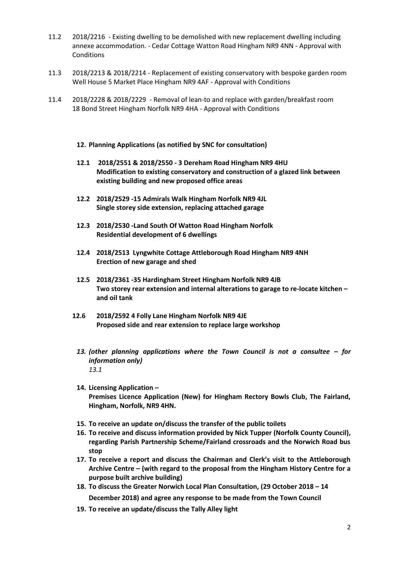- 11.2 2018/2216 Existing dwelling to be demolished with new replacement dwelling including annexe accommodation. - Cedar Cottage Watton Road Hingham NR9 4NN - Approval with Conditions
- 11.3 2018/2213 & 2018/2214 Replacement of existing conservatory with bespoke garden room Well House 5 Market Place Hingham NR9 4AF - Approval with Conditions
- 11.4 2018/2228 & 2018/2229 Removal of lean-to and replace with garden/breakfast room 18 Bond Street Hingham Norfolk NR9 4HA - Approval with Conditions
	- **12. Planning Applications (as notified by SNC for consultation)**
	- **12.1 2018/2551 & 2018/2550 - 3 Dereham Road Hingham NR9 4HU Modification to existing conservatory and construction of a glazed link between existing building and new proposed office areas**
	- **12.2 2018/2529 -15 Admirals Walk Hingham Norfolk NR9 4JL Single storey side extension, replacing attached garage**
	- **12.3 2018/2530 -Land South Of Watton Road Hingham Norfolk Residential development of 6 dwellings**
	- **12.4 2018/2513 Lyngwhite Cottage Attleborough Road Hingham NR9 4NH Erection of new garage and shed**
	- **12.5 2018/2361 -35 Hardingham Street Hingham Norfolk NR9 4JB Two storey rear extension and internal alterations to garage to re-locate kitchen – and oil tank**
	- **12.6 2018/2592 4 Folly Lane Hingham Norfolk NR9 4JE Proposed side and rear extension to replace large workshop**
		- *13. (other planning applications where the Town Council is not a consultee – for information only) 13.1*
		- **14. Licensing Application – Premises Licence Application (New) for Hingham Rectory Bowls Club, The Fairland, Hingham, Norfolk, NR9 4HN.**
		- **15. To receive an update on/discuss the transfer of the public toilets**
		- **16. To receive and discuss information provided by Nick Tupper (Norfolk County Council), regarding Parish Partnership Scheme/Fairland crossroads and the Norwich Road bus stop**
		- **17. To receive a report and discuss the Chairman and Clerk's visit to the Attleborough Archive Centre – (with regard to the proposal from the Hingham History Centre for a purpose built archive building)**
		- **18. To discuss the Greater Norwich Local Plan Consultation, (29 October 2018 – 14 December 2018) and agree any response to be made from the Town Council**
		- **19. To receive an update/discuss the Tally Alley light**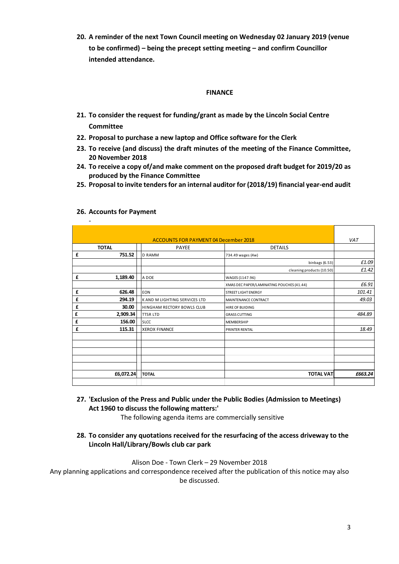**20. A reminder of the next Town Council meeting on Wednesday 02 January 2019 (venue to be confirmed) – being the precept setting meeting – and confirm Councillor intended attendance.**

### **FINANCE**

- **21. To consider the request for funding/grant as made by the Lincoln Social Centre Committee**
- **22. Proposal to purchase a new laptop and Office software for the Clerk**
- **23. To receive (and discuss) the draft minutes of the meeting of the Finance Committee, 20 November 2018**
- **24. To receive a copy of/and make comment on the proposed draft budget for 2019/20 as produced by the Finance Committee**
- **25. Proposal to invite tenders for an internal auditor for (2018/19) financial year-end audit**

| <b>ACCOUNTS FOR PAYMENT 04 December 2018</b> |              |                                      |                                           | <b>VAT</b> |
|----------------------------------------------|--------------|--------------------------------------|-------------------------------------------|------------|
|                                              | <b>TOTAL</b> | <b>PAYEE</b>                         | <b>DETAILS</b>                            |            |
| £                                            | 751.52       | <b>D RAMM</b>                        | 734.49 wages (4w)                         |            |
|                                              |              |                                      | binbags (6.53)                            | £1.09      |
|                                              |              |                                      | cleaning products (10.50)                 | £1.42      |
| £                                            | 1,189.40     | A DOE                                | WAGES (1147.96)                           |            |
|                                              |              |                                      | XMAS DEC PAPER/LAMINATING POUCHES (41.44) | £6.91      |
| £                                            | 626.48       | <b>EON</b>                           | <b>STREET LIGHT ENERGY</b>                | 101.41     |
| £                                            | 294.19       | <b>K AND M LIGHTING SERVICES LTD</b> | <b>MAINTENANCE CONTRACT</b>               | 49.03      |
| £                                            | 30.00        | <b>HINGHAM RECTORY BOWLS CLUB</b>    | <b>HIRE OF BUIDING</b>                    |            |
| £                                            | 2,909.34     | <b>TTSR LTD</b>                      | <b>GRASS CUTTING</b>                      | 484.89     |
| £                                            | 156.00       | <b>SLCC</b>                          | <b>MEMBERSHIP</b>                         |            |
| £                                            | 115.31       | <b>XEROX FINANCE</b>                 | <b>PRINTER RENTAL</b>                     | 18.49      |
|                                              |              |                                      |                                           |            |
|                                              |              |                                      |                                           |            |
|                                              |              |                                      |                                           |            |
|                                              |              |                                      |                                           |            |
|                                              |              |                                      |                                           |            |
|                                              | £6,072.24    | <b>TOTAL</b>                         | <b>TOTAL VAT</b>                          | £663.24    |
|                                              |              |                                      |                                           |            |

#### **26. Accounts for Payment**

-

**27. 'Exclusion of the Press and Public under the Public Bodies (Admission to Meetings) Act 1960 to discuss the following matters:'** 

The following agenda items are commercially sensitive

# **28. To consider any quotations received for the resurfacing of the access driveway to the Lincoln Hall/Library/Bowls club car park**

Alison Doe - Town Clerk – 29 November 2018

Any planning applications and correspondence received after the publication of this notice may also be discussed.